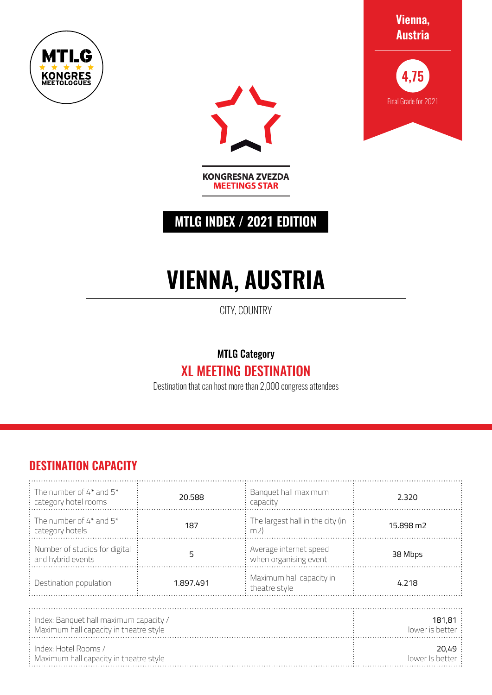





**KONGRESNA ZVEZDA MEETINGS STAR** 

## **MTLG INDEX / 2021 EDITION**

# **VIENNA, AUSTRIA**

CITY, COUNTRY

### MTLG Category XL MEETING DESTINATION

Destination that can host more than 2,000 congress attendees

#### **DESTINATION CAPACITY**

| $\frac{1}{2}$ The number of 4* and 5*<br>category hotel rooms                    | Banquet hall maximum<br>20.588<br>capacity             |                                         | 2.320                 |  |  |  |
|----------------------------------------------------------------------------------|--------------------------------------------------------|-----------------------------------------|-----------------------|--|--|--|
| : The number of $4^*$ and $5^*$<br>category hotels                               | 187                                                    | The largest hall in the city (in<br>m2) | 15.898 m <sub>2</sub> |  |  |  |
| : Number of studios for digital<br>and hybrid events                             | Average internet speed<br>5<br>when organising event   |                                         | 38 Mbps               |  |  |  |
| Destination population                                                           | Maximum hall capacity in<br>1.897.491<br>theatre style |                                         | 4.218                 |  |  |  |
|                                                                                  |                                                        |                                         |                       |  |  |  |
| Index: Banquet hall maximum capacity /<br>Maximum hall capacity in theatre style | 181.81<br>lower is better                              |                                         |                       |  |  |  |
| Index: Hotel Rooms /<br>: Maximum hall capacity in theatre style                 | 20.49<br>lower Is better                               |                                         |                       |  |  |  |